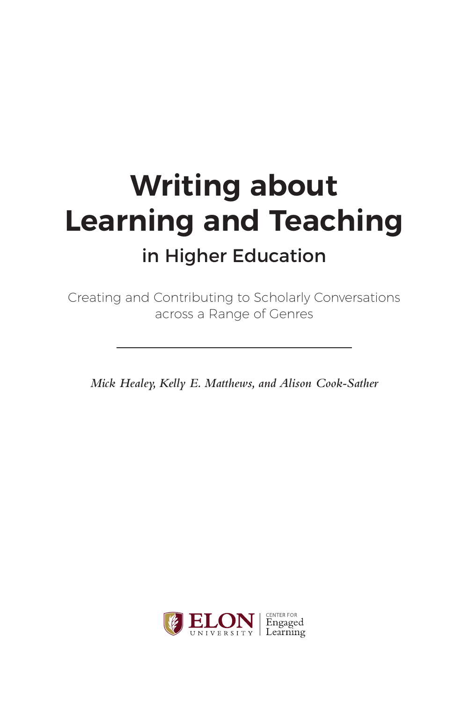# **Writing about Learning and Teaching** in Higher Education

Creating and Contributing to Scholarly Conversations across a Range of Genres

*Mick Healey, Kelly E. Matthews, and Alison Cook-Sather*

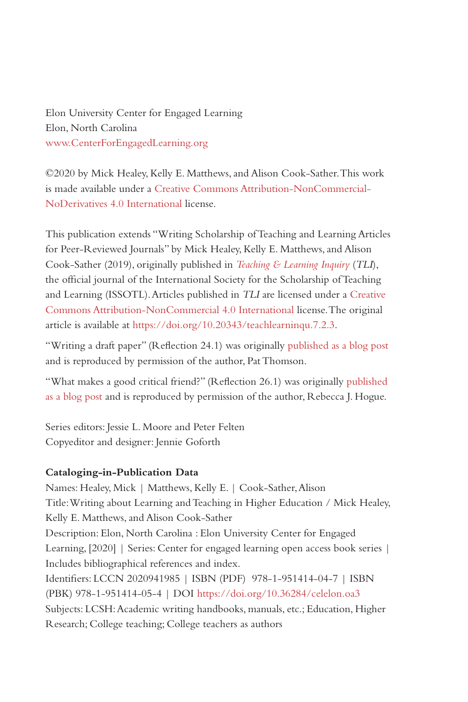Elon University Center for Engaged Learning Elon, North Carolina [www.CenterForEngagedLearning.org](http://www.centerforengagedlearning.org)

©2020 by Mick Healey, Kelly E. Matthews, and Alison Cook-Sather. This work is made available under a [Creative Commons Attribution-NonCommercial-](https://creativecommons.org/licenses/by-nc-nd/4.0/)[NoDerivatives 4.0 International](https://creativecommons.org/licenses/by-nc-nd/4.0/) license.

This publication extends "Writing Scholarship of Teaching and Learning Articles for Peer-Reviewed Journals" by Mick Healey, Kelly E. Matthews, and Alison Cook-Sather (2019), originally published in *[Teaching & Learning Inquiry](http://tlijournal.com/)* (*TLI*), the official journal of the International Society for the Scholarship of Teaching and Learning (ISSOTL). Articles published in *TLI* are licensed under a [Creative](https://creativecommons.org/licenses/by-nc/4.0/)  [Commons Attribution-NonCommercial 4.0 International license](https://creativecommons.org/licenses/by-nc/4.0/). The original article is available at [https://doi.org/10.20343/teachlearninqu.7.2.3.](https://doi.org/10.20343/teachlearninqu.7.2.3)

"Writing a draft paper" (Reflection 24.1) was originally [published as a blog post](https://patthomson.net/2019/06/03/writing-targets-word-counts-time-spent-or-chunks/) and is reproduced by permission of the author, Pat Thomson.

"What makes a good critical friend?" (Reflection 26.1) was originally [published](https://rjhogue.name/2012/11/14/what-makes-a-good-critical-friend/)  [as a blog post](https://rjhogue.name/2012/11/14/what-makes-a-good-critical-friend/) and is reproduced by permission of the author, Rebecca J. Hogue.

Series editors: Jessie L. Moore and Peter Felten Copyeditor and designer: Jennie Goforth

#### **Cataloging-in-Publication Data**

Names: Healey, Mick | Matthews, Kelly E. | Cook-Sather, Alison Title: Writing about Learning and Teaching in Higher Education / Mick Healey, Kelly E. Matthews, and Alison Cook-Sather Description: Elon, North Carolina : Elon University Center for Engaged Learning, [2020] | Series: Center for engaged learning open access book series | Includes bibliographical references and index. Identifiers: LCCN 2020941985 | ISBN (PDF) 978-1-951414-04-7 | ISBN (PBK) 978-1-951414-05-4 | DOI <https://doi.org/10.36284/celelon.oa3> Subjects: LCSH: Academic writing handbooks, manuals, etc.; Education, Higher Research; College teaching; College teachers as authors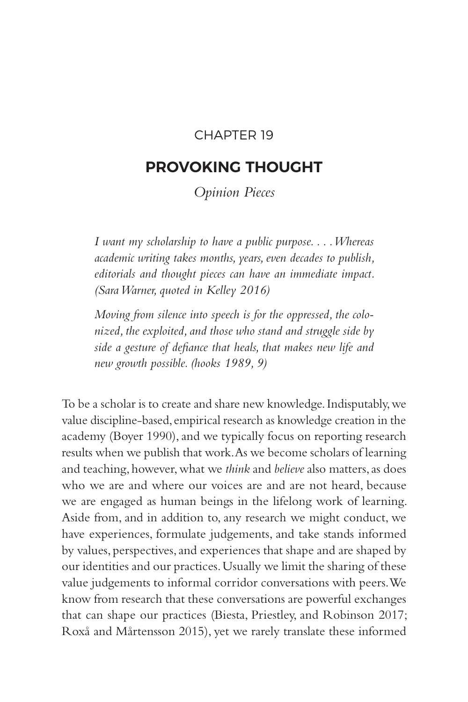## CHAPTER 19

# **PROVOKING THOUGHT**

*Opinion Pieces*

*I want my scholarship to have a public purpose. . . . Whereas academic writing takes months, years, even decades to publish, editorials and thought pieces can have an immediate impact. (Sara Warner, quoted in Kelley 2016)*

*Moving from silence into speech is for the oppressed, the colonized, the exploited, and those who stand and struggle side by side a gesture of defiance that heals, that makes new life and new growth possible. (hooks 1989, 9)*

To be a scholar is to create and share new knowledge. Indisputably, we value discipline-based, empirical research as knowledge creation in the academy (Boyer 1990), and we typically focus on reporting research results when we publish that work. As we become scholars of learning and teaching, however, what we *think* and *believe* also matters, as does who we are and where our voices are and are not heard, because we are engaged as human beings in the lifelong work of learning. Aside from, and in addition to, any research we might conduct, we have experiences, formulate judgements, and take stands informed by values, perspectives, and experiences that shape and are shaped by our identities and our practices. Usually we limit the sharing of these value judgements to informal corridor conversations with peers. We know from research that these conversations are powerful exchanges that can shape our practices (Biesta, Priestley, and Robinson 2017; Roxå and Mårtensson 2015), yet we rarely translate these informed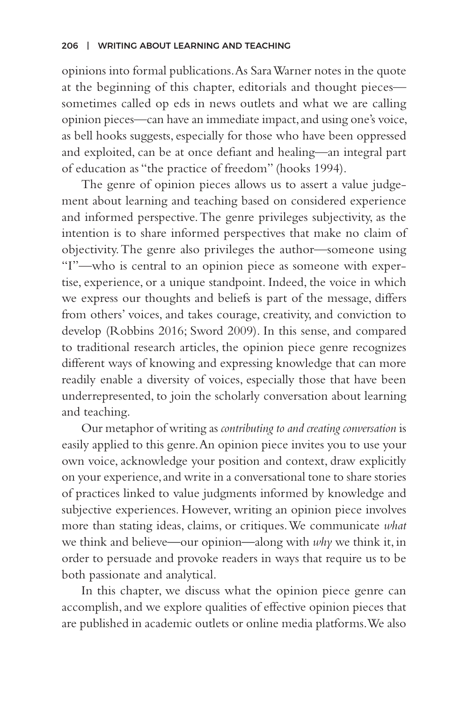opinions into formal publications. As Sara Warner notes in the quote at the beginning of this chapter, editorials and thought pieces sometimes called op eds in news outlets and what we are calling opinion pieces—can have an immediate impact, and using one's voice, as bell hooks suggests, especially for those who have been oppressed and exploited, can be at once defiant and healing—an integral part of education as "the practice of freedom" (hooks 1994).

The genre of opinion pieces allows us to assert a value judgement about learning and teaching based on considered experience and informed perspective. The genre privileges subjectivity, as the intention is to share informed perspectives that make no claim of objectivity. The genre also privileges the author—someone using "I"—who is central to an opinion piece as someone with expertise, experience, or a unique standpoint. Indeed, the voice in which we express our thoughts and beliefs is part of the message, differs from others' voices, and takes courage, creativity, and conviction to develop (Robbins 2016; Sword 2009). In this sense, and compared to traditional research articles, the opinion piece genre recognizes different ways of knowing and expressing knowledge that can more readily enable a diversity of voices, especially those that have been underrepresented, to join the scholarly conversation about learning and teaching.

Our metaphor of writing as *contributing to and creating conversation* is easily applied to this genre. An opinion piece invites you to use your own voice, acknowledge your position and context, draw explicitly on your experience, and write in a conversational tone to share stories of practices linked to value judgments informed by knowledge and subjective experiences. However, writing an opinion piece involves more than stating ideas, claims, or critiques. We communicate *what*  we think and believe*—*our opinion*—*along with *why* we think it, in order to persuade and provoke readers in ways that require us to be both passionate and analytical.

In this chapter, we discuss what the opinion piece genre can accomplish, and we explore qualities of effective opinion pieces that are published in academic outlets or online media platforms. We also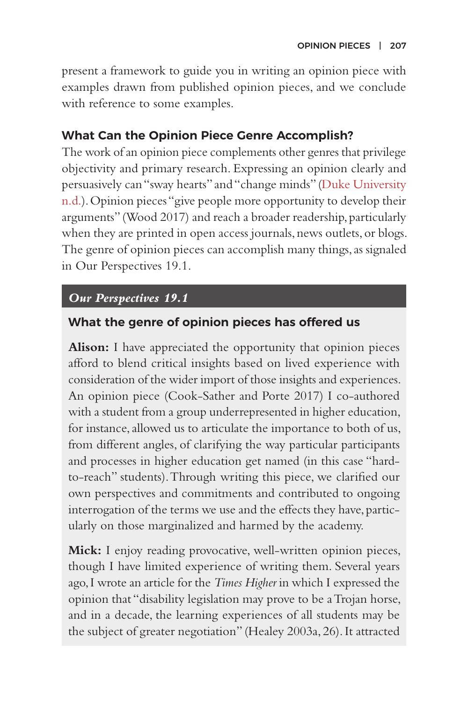present a framework to guide you in writing an opinion piece with examples drawn from published opinion pieces, and we conclude with reference to some examples.

## **What Can the Opinion Piece Genre Accomplish?**

The work of an opinion piece complements other genres that privilege objectivity and primary research. Expressing an opinion clearly and persuasively can "sway hearts" and "change minds" [\(Duke University](https://styleguide.duke.edu/toolkits/writing-media/how-to-write-an-op-ed-article/) [n.d.](https://styleguide.duke.edu/toolkits/writing-media/how-to-write-an-op-ed-article/)). Opinion pieces "give people more opportunity to develop their arguments" (Wood 2017) and reach a broader readership, particularly when they are printed in open access journals, news outlets, or blogs. The genre of opinion pieces can accomplish many things, as signaled in Our Perspectives 19.1.

## *Our Perspectives 19.1*

## **What the genre of opinion pieces has offered us**

**Alison:** I have appreciated the opportunity that opinion pieces afford to blend critical insights based on lived experience with consideration of the wider import of those insights and experiences. An opinion piece (Cook-Sather and Porte 2017) I co-authored with a student from a group underrepresented in higher education, for instance, allowed us to articulate the importance to both of us, from different angles, of clarifying the way particular participants and processes in higher education get named (in this case "hardto-reach" students). Through writing this piece, we clarified our own perspectives and commitments and contributed to ongoing interrogation of the terms we use and the effects they have, particularly on those marginalized and harmed by the academy.

**Mick:** I enjoy reading provocative, well-written opinion pieces, though I have limited experience of writing them. Several years ago, I wrote an article for the *Times Higher* in which I expressed the opinion that "disability legislation may prove to be a Trojan horse, and in a decade, the learning experiences of all students may be the subject of greater negotiation" (Healey 2003a, 26). It attracted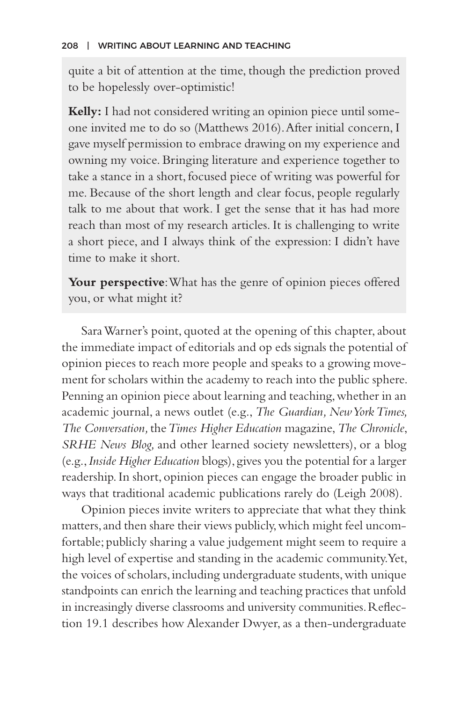quite a bit of attention at the time, though the prediction proved to be hopelessly over-optimistic!

**Kelly:** I had not considered writing an opinion piece until someone invited me to do so (Matthews 2016). After initial concern, I gave myself permission to embrace drawing on my experience and owning my voice. Bringing literature and experience together to take a stance in a short, focused piece of writing was powerful for me. Because of the short length and clear focus, people regularly talk to me about that work. I get the sense that it has had more reach than most of my research articles. It is challenging to write a short piece, and I always think of the expression: I didn't have time to make it short.

Your perspective: What has the genre of opinion pieces offered you, or what might it?

Sara Warner's point, quoted at the opening of this chapter, about the immediate impact of editorials and op eds signals the potential of opinion pieces to reach more people and speaks to a growing movement for scholars within the academy to reach into the public sphere. Penning an opinion piece about learning and teaching, whether in an academic journal, a news outlet (e.g., *The Guardian, New York Times, The Conversation,* the *Times Higher Education* magazine, *The Chronicle*, *SRHE News Blog,* and other learned society newsletters), or a blog (e.g., *Inside Higher Education* blogs), gives you the potential for a larger readership. In short, opinion pieces can engage the broader public in ways that traditional academic publications rarely do (Leigh 2008).

Opinion pieces invite writers to appreciate that what they think matters, and then share their views publicly, which might feel uncomfortable; publicly sharing a value judgement might seem to require a high level of expertise and standing in the academic community. Yet, the voices of scholars, including undergraduate students, with unique standpoints can enrich the learning and teaching practices that unfold in increasingly diverse classrooms and university communities. Reflection 19.1 describes how Alexander Dwyer, as a then-undergraduate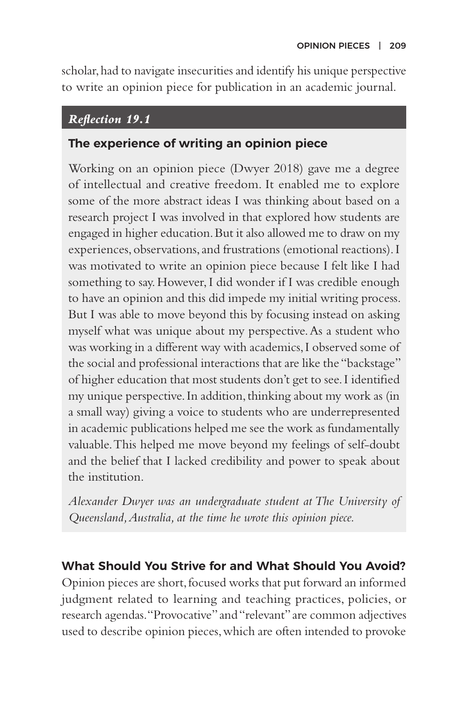scholar, had to navigate insecurities and identify his unique perspective to write an opinion piece for publication in an academic journal.

## *Reflection 19.1*

## **The experience of writing an opinion piece**

Working on an opinion piece (Dwyer 2018) gave me a degree of intellectual and creative freedom. It enabled me to explore some of the more abstract ideas I was thinking about based on a research project I was involved in that explored how students are engaged in higher education. But it also allowed me to draw on my experiences, observations, and frustrations (emotional reactions). I was motivated to write an opinion piece because I felt like I had something to say. However, I did wonder if I was credible enough to have an opinion and this did impede my initial writing process. But I was able to move beyond this by focusing instead on asking myself what was unique about my perspective. As a student who was working in a different way with academics, I observed some of the social and professional interactions that are like the "backstage" of higher education that most students don't get to see. I identified my unique perspective. In addition, thinking about my work as (in a small way) giving a voice to students who are underrepresented in academic publications helped me see the work as fundamentally valuable. This helped me move beyond my feelings of self-doubt and the belief that I lacked credibility and power to speak about the institution.

*Alexander Dwyer was an undergraduate student at The University of Queensland, Australia, at the time he wrote this opinion piece.*

## **What Should You Strive for and What Should You Avoid?**

Opinion pieces are short, focused works that put forward an informed judgment related to learning and teaching practices, policies, or research agendas. "Provocative" and "relevant" are common adjectives used to describe opinion pieces, which are often intended to provoke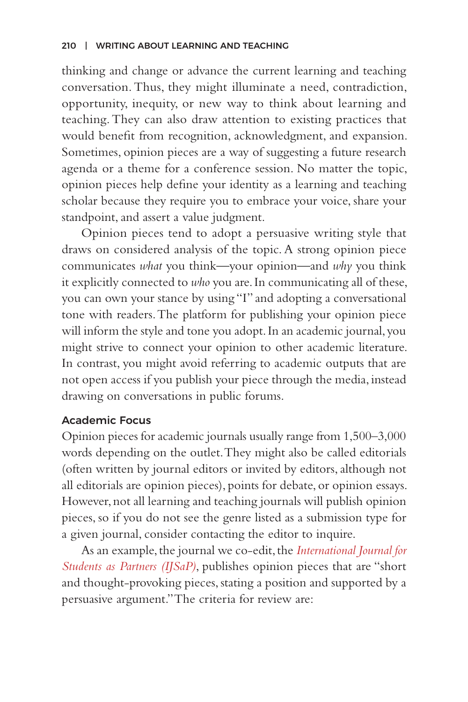thinking and change or advance the current learning and teaching conversation. Thus, they might illuminate a need, contradiction, opportunity, inequity, or new way to think about learning and teaching. They can also draw attention to existing practices that would benefit from recognition, acknowledgment, and expansion. Sometimes, opinion pieces are a way of suggesting a future research agenda or a theme for a conference session. No matter the topic, opinion pieces help define your identity as a learning and teaching scholar because they require you to embrace your voice, share your standpoint, and assert a value judgment.

Opinion pieces tend to adopt a persuasive writing style that draws on considered analysis of the topic. A strong opinion piece communicates *what* you think*—*your opinion*—*and *why* you think it explicitly connected to *who* you are. In communicating all of these, you can own your stance by using "I" and adopting a conversational tone with readers. The platform for publishing your opinion piece will inform the style and tone you adopt. In an academic journal, you might strive to connect your opinion to other academic literature. In contrast, you might avoid referring to academic outputs that are not open access if you publish your piece through the media, instead drawing on conversations in public forums.

## Academic Focus

Opinion pieces for academic journals usually range from 1,500–3,000 words depending on the outlet. They might also be called editorials (often written by journal editors or invited by editors, although not all editorials are opinion pieces), points for debate, or opinion essays. However, not all learning and teaching journals will publish opinion pieces, so if you do not see the genre listed as a submission type for a given journal, consider contacting the editor to inquire.

As an example, the journal we co-edit, the *[International Journal for](https://mulpress.mcmaster.ca/ijsap/about/submissions) [Students as Partners \(IJSaP\)](https://mulpress.mcmaster.ca/ijsap/about/submissions)*, publishes opinion pieces that are "short and thought-provoking pieces, stating a position and supported by a persuasive argument." The criteria for review are: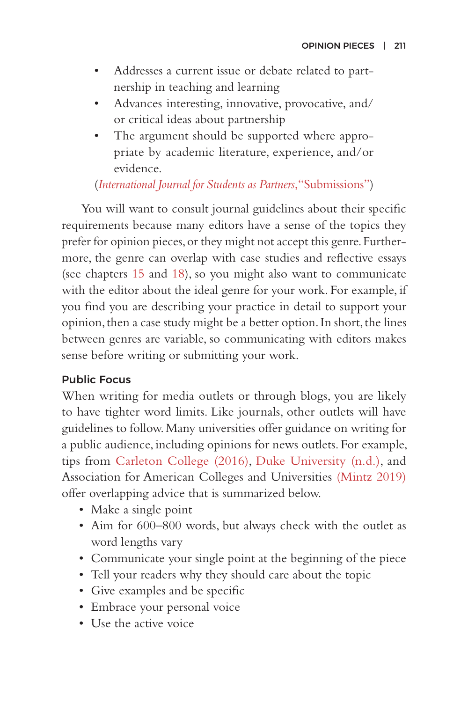- Addresses a current issue or debate related to partnership in teaching and learning
- Advances interesting, innovative, provocative, and/ or critical ideas about partnership
- The argument should be supported where appropriate by academic literature, experience, and/or evidence.

## (*[International Journal for Students as Partners](https://mulpress.mcmaster.ca/ijsap/about/submissions)*, "Submissions")

You will want to consult journal guidelines about their specific requirements because many editors have a sense of the topics they prefer for opinion pieces, or they might not accept this genre. Furthermore, the genre can overlap with case studies and reflective essays (see chapters [15](#page--1-0) and [18](#page--1-0)), so you might also want to communicate with the editor about the ideal genre for your work. For example, if you find you are describing your practice in detail to support your opinion, then a case study might be a better option. In short, the lines between genres are variable, so communicating with editors makes sense before writing or submitting your work.

## Public Focus

When writing for media outlets or through blogs, you are likely to have tighter word limits. Like journals, other outlets will have guidelines to follow. Many universities offer guidance on writing for a public audience, including opinions for news outlets. For example, tips from [Carleton College \(2016\),](https://apps.carleton.edu/media_relations/about/op_ed_guidelines/) [Duke University \(n.d.\),](https://styleguide.duke.edu/toolkits/writing-media/how-to-write-an-op-ed-article/) and Association for American Colleges and Universities [\(Mintz 2019\)](https://www.aacu.org/liberaleducation/2019/winter/mintz) offer overlapping advice that is summarized below.

- Make a single point
- Aim for 600–800 words, but always check with the outlet as word lengths vary
- Communicate your single point at the beginning of the piece
- Tell your readers why they should care about the topic
- Give examples and be specific
- Embrace your personal voice
- Use the active voice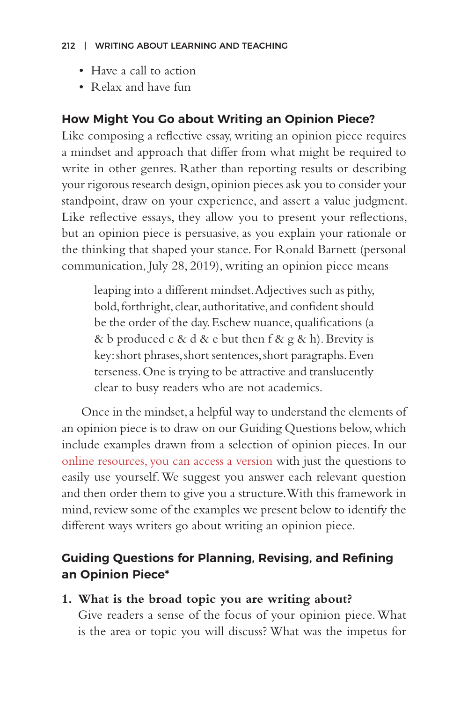#### 212 | WRITING ABOUT LEARNING AND TEACHING

- Have a call to action
- Relax and have fun

## **How Might You Go about Writing an Opinion Piece?**

Like composing a reflective essay, writing an opinion piece requires a mindset and approach that differ from what might be required to write in other genres. Rather than reporting results or describing your rigorous research design, opinion pieces ask you to consider your standpoint, draw on your experience, and assert a value judgment. Like reflective essays, they allow you to present your reflections, but an opinion piece is persuasive, as you explain your rationale or the thinking that shaped your stance. For Ronald Barnett (personal communication, July 28, 2019), writing an opinion piece means

leaping into a different mindset. Adjectives such as pithy, bold, forthright, clear, authoritative, and confident should be the order of the day. Eschew nuance, qualifications (a & b produced c & d & e but then f & g & h). Brevity is key: short phrases, short sentences, short paragraphs. Even terseness. One is trying to be attractive and translucently clear to busy readers who are not academics.

Once in the mindset, a helpful way to understand the elements of an opinion piece is to draw on our Guiding Questions below, which include examples drawn from a selection of opinion pieces. In our [online resources, you can access a version](http://www.centerforengagedlearning.org/wp-content/uploads/2020/06/Guiding-Questions-for-an-Opinion-Piece.docx) with just the questions to easily use yourself. We suggest you answer each relevant question and then order them to give you a structure. With this framework in mind, review some of the examples we present below to identify the different ways writers go about writing an opinion piece.

# **Guiding Questions for Planning, Revising, and Refining an Opinion Piece\***

## **1. What is the broad topic you are writing about?**

Give readers a sense of the focus of your opinion piece. What is the area or topic you will discuss? What was the impetus for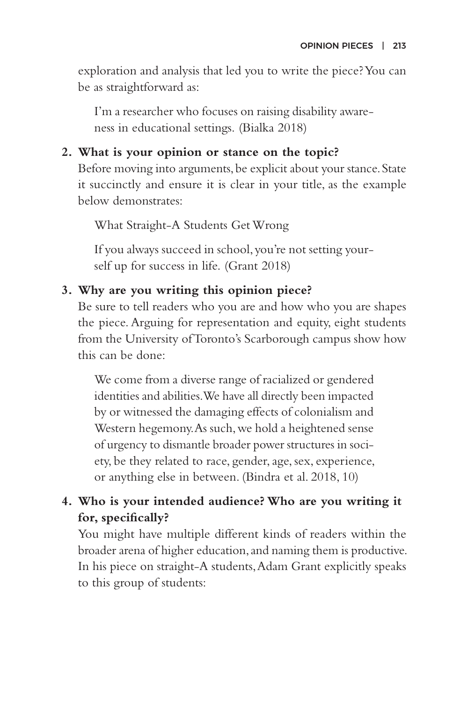exploration and analysis that led you to write the piece? You can be as straightforward as:

I'm a researcher who focuses on raising disability awareness in educational settings. (Bialka 2018)

## **2. What is your opinion or stance on the topic?**

Before moving into arguments, be explicit about your stance. State it succinctly and ensure it is clear in your title, as the example below demonstrates:

What Straight-A Students Get Wrong

If you always succeed in school, you're not setting yourself up for success in life. (Grant 2018)

## **3. Why are you writing this opinion piece?**

Be sure to tell readers who you are and how who you are shapes the piece. Arguing for representation and equity, eight students from the University of Toronto's Scarborough campus show how this can be done:

We come from a diverse range of racialized or gendered identities and abilities. We have all directly been impacted by or witnessed the damaging effects of colonialism and Western hegemony. As such, we hold a heightened sense of urgency to dismantle broader power structures in society, be they related to race, gender, age, sex, experience, or anything else in between. (Bindra et al. 2018, 10)

## **4. Who is your intended audience? Who are you writing it for, specifically?**

You might have multiple different kinds of readers within the broader arena of higher education, and naming them is productive. In his piece on straight-A students, Adam Grant explicitly speaks to this group of students: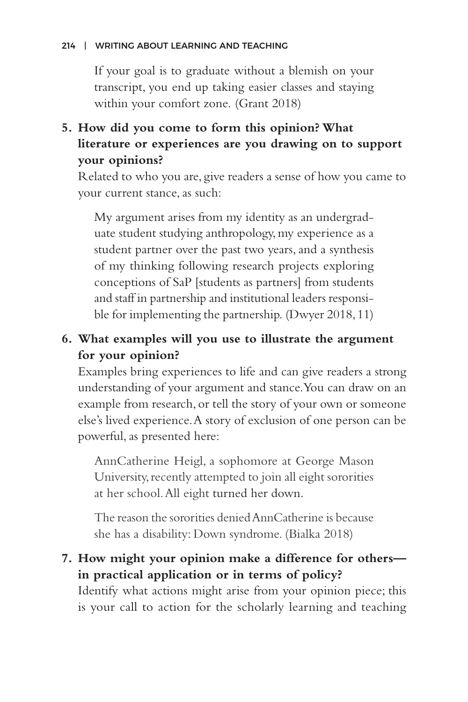#### 214 | WRITING ABOUT LEARNING AND TEACHING

If your goal is to graduate without a blemish on your transcript, you end up taking easier classes and staying within your comfort zone. (Grant 2018)

# **5. How did you come to form this opinion? What literature or experiences are you drawing on to support your opinions?**

Related to who you are, give readers a sense of how you came to your current stance, as such:

My argument arises from my identity as an undergraduate student studying anthropology, my experience as a student partner over the past two years, and a synthesis of my thinking following research projects exploring conceptions of SaP [students as partners] from students and staff in partnership and institutional leaders responsible for implementing the partnership. (Dwyer 2018, 11)

# **6. What examples will you use to illustrate the argument for your opinion?**

Examples bring experiences to life and can give readers a strong understanding of your argument and stance. You can draw on an example from research, or tell the story of your own or someone else's lived experience. A story of exclusion of one person can be powerful, as presented here:

AnnCatherine Heigl, a sophomore at George Mason University, recently attempted to join all eight sororities at her school. All eight turned her down.

The reason the sororities denied AnnCatherine is because she has a disability: Down syndrome. (Bialka 2018)

## **7. How might your opinion make a difference for others in practical application or in terms of policy?**

Identify what actions might arise from your opinion piece; this is your call to action for the scholarly learning and teaching